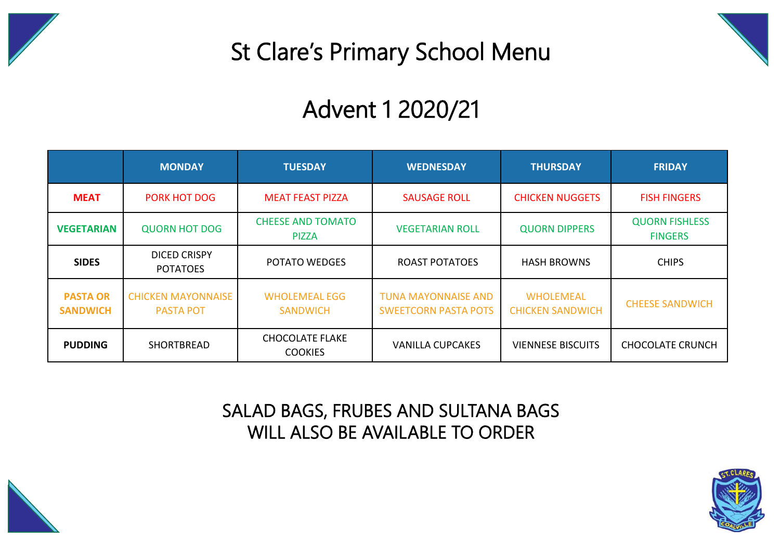

## St Clare's Primary School Menu

## Advent 1 2020/21

|                                    | <b>MONDAY</b>                                 | <b>TUESDAY</b>                                                     | <b>WEDNESDAY</b>                                          | <b>THURSDAY</b>                             | <b>FRIDAY</b>                           |  |
|------------------------------------|-----------------------------------------------|--------------------------------------------------------------------|-----------------------------------------------------------|---------------------------------------------|-----------------------------------------|--|
| <b>MEAT</b>                        | <b>PORK HOT DOG</b>                           | <b>MEAT FEAST PIZZA</b>                                            | <b>SAUSAGE ROLL</b>                                       | <b>CHICKEN NUGGETS</b>                      | <b>FISH FINGERS</b>                     |  |
| <b>VEGETARIAN</b>                  | <b>QUORN HOT DOG</b>                          | <b>CHEESE AND TOMATO</b><br><b>VEGETARIAN ROLL</b><br><b>PIZZA</b> |                                                           | <b>QUORN DIPPERS</b>                        | <b>QUORN FISHLESS</b><br><b>FINGERS</b> |  |
| <b>SIDES</b>                       | DICED CRISPY<br><b>POTATOES</b>               | <b>POTATO WEDGES</b>                                               | <b>ROAST POTATOES</b>                                     | <b>HASH BROWNS</b>                          | <b>CHIPS</b>                            |  |
| <b>PASTA OR</b><br><b>SANDWICH</b> | <b>CHICKEN MAYONNAISE</b><br><b>PASTA POT</b> | <b>WHOLEMEAL EGG</b><br><b>SANDWICH</b>                            | <b>TUNA MAYONNAISE AND</b><br><b>SWEETCORN PASTA POTS</b> | <b>WHOLEMEAL</b><br><b>CHICKEN SANDWICH</b> | <b>CHEESE SANDWICH</b>                  |  |
| <b>PUDDING</b>                     | <b>SHORTBREAD</b>                             | <b>CHOCOLATE FLAKE</b><br><b>COOKIES</b>                           | <b>VANILLA CUPCAKES</b>                                   | <b>VIENNESE BISCUITS</b>                    | <b>CHOCOLATE CRUNCH</b>                 |  |

## SALAD BAGS, FRUBES AND SULTANA BAGS WILL ALSO BE AVAILABLE TO ORDER